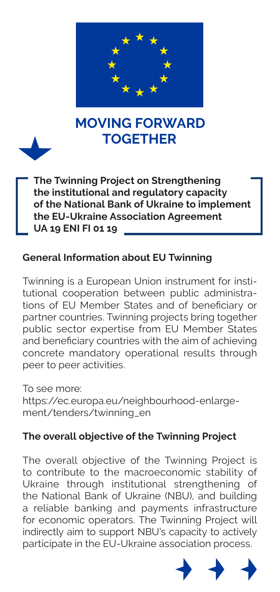

# **TOGETHER MOVING FORWARD**



**The Twinning Project on Strengthening the institutional and regulatory capacity of the National Bank of Ukraine to implement the EU-Ukraine Association Agreement UA 19 ENI FI 01 19** ski dine Association Agreemi<br>U.E

### **General Information about EU Twinning**

Twinning is a European Union instrument for institutional cooperation between public administrations of EU Member States and of beneficiary or partner countries. Twinning projects bring together public sector expertise from EU Member States and beneficiary countries with the aim of achieving concrete mandatory operational results through peer to peer activities. **16** | BRAND IDENTITY & VISIBILITY FOR EU ACTIONS IN UKRAINE peranon between public administra-

> To see more: https://ec.europa.eu/neighbourhood-enlargement/tenders/twinning\_en

### **The overall objective of the Twinning Project**

The overall objective of the Twinning Project is to contribute to the macroeconomic stability of Ukraine through institutional strengthening of the National Bank of Ukraine (NBU), and building a reliable banking and payments infrastructure for economic operators. The Twinning Project will indirectly aim to support NBU's capacity to actively participate in the EU-Ukraine association process. **GRAPHIC DESIGN LANGUAGE** ר<br>ר<br>ר ald it it conditions ー<br>2<br>2 d<br>S E<br>D<br>I d<br>in<br>i is<br>つつつ r<br>r しいいつ r<br>J<br>G<br>C as a highlight for drawing the eye to text, and a high continuously are to text, and a continuously continuous<br>and the executive continuously continuously continuously are the executive continuously continuously continuou  $\overline{y}$